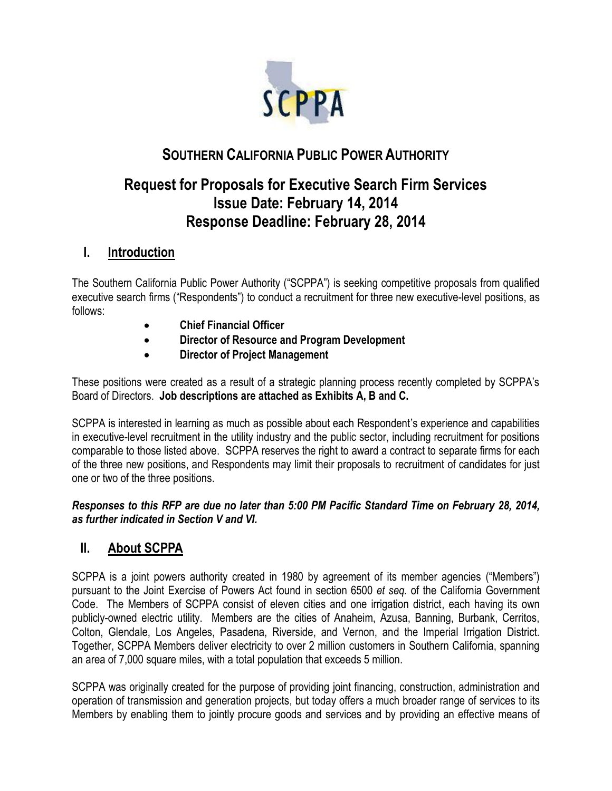

# **SOUTHERN CALIFORNIA PUBLIC POWER AUTHORITY**

# **Request for Proposals for Executive Search Firm Services Issue Date: February 14, 2014 Response Deadline: February 28, 2014**

# **I. Introduction**

The Southern California Public Power Authority ("SCPPA") is seeking competitive proposals from qualified executive search firms ("Respondents") to conduct a recruitment for three new executive-level positions, as follows:

- **Chief Financial Officer**
- **Director of Resource and Program Development**
- **Director of Project Management**

These positions were created as a result of a strategic planning process recently completed by SCPPA's Board of Directors. **Job descriptions are attached as Exhibits A, B and C.**

SCPPA is interested in learning as much as possible about each Respondent's experience and capabilities in executive-level recruitment in the utility industry and the public sector, including recruitment for positions comparable to those listed above. SCPPA reserves the right to award a contract to separate firms for each of the three new positions, and Respondents may limit their proposals to recruitment of candidates for just one or two of the three positions.

## *Responses to this RFP are due no later than 5:00 PM Pacific Standard Time on February 28, 2014, as further indicated in Section V and VI.*

# **II. About SCPPA**

SCPPA is a joint powers authority created in 1980 by agreement of its member agencies ("Members") pursuant to the Joint Exercise of Powers Act found in section 6500 *et seq.* of the California Government Code. The Members of SCPPA consist of eleven cities and one irrigation district, each having its own publicly-owned electric utility. Members are the cities of Anaheim, Azusa, Banning, Burbank, Cerritos, Colton, Glendale, Los Angeles, Pasadena, Riverside, and Vernon, and the Imperial Irrigation District. Together, SCPPA Members deliver electricity to over 2 million customers in Southern California, spanning an area of 7,000 square miles, with a total population that exceeds 5 million.

SCPPA was originally created for the purpose of providing joint financing, construction, administration and operation of transmission and generation projects, but today offers a much broader range of services to its Members by enabling them to jointly procure goods and services and by providing an effective means of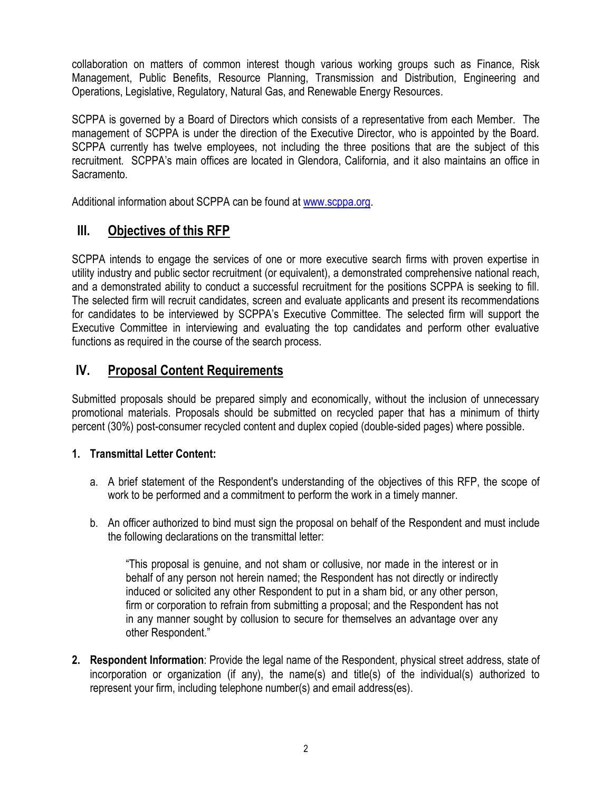collaboration on matters of common interest though various working groups such as Finance, Risk Management, Public Benefits, Resource Planning, Transmission and Distribution, Engineering and Operations, Legislative, Regulatory, Natural Gas, and Renewable Energy Resources.

SCPPA is governed by a Board of Directors which consists of a representative from each Member. The management of SCPPA is under the direction of the Executive Director, who is appointed by the Board. SCPPA currently has twelve employees, not including the three positions that are the subject of this recruitment. SCPPA's main offices are located in Glendora, California, and it also maintains an office in Sacramento.

Additional information about SCPPA can be found at [www.scppa.org.](http://www.scppa.org/)

# **III. Objectives of this RFP**

SCPPA intends to engage the services of one or more executive search firms with proven expertise in utility industry and public sector recruitment (or equivalent), a demonstrated comprehensive national reach, and a demonstrated ability to conduct a successful recruitment for the positions SCPPA is seeking to fill. The selected firm will recruit candidates, screen and evaluate applicants and present its recommendations for candidates to be interviewed by SCPPA's Executive Committee. The selected firm will support the Executive Committee in interviewing and evaluating the top candidates and perform other evaluative functions as required in the course of the search process.

# **IV. Proposal Content Requirements**

Submitted proposals should be prepared simply and economically, without the inclusion of unnecessary promotional materials. Proposals should be submitted on recycled paper that has a minimum of thirty percent (30%) post-consumer recycled content and duplex copied (double-sided pages) where possible.

## **1. Transmittal Letter Content:**

- a. A brief statement of the Respondent's understanding of the objectives of this RFP, the scope of work to be performed and a commitment to perform the work in a timely manner.
- b. An officer authorized to bind must sign the proposal on behalf of the Respondent and must include the following declarations on the transmittal letter:

"This proposal is genuine, and not sham or collusive, nor made in the interest or in behalf of any person not herein named; the Respondent has not directly or indirectly induced or solicited any other Respondent to put in a sham bid, or any other person, firm or corporation to refrain from submitting a proposal; and the Respondent has not in any manner sought by collusion to secure for themselves an advantage over any other Respondent."

**2. Respondent Information**: Provide the legal name of the Respondent, physical street address, state of incorporation or organization (if any), the name(s) and title(s) of the individual(s) authorized to represent your firm, including telephone number(s) and email address(es).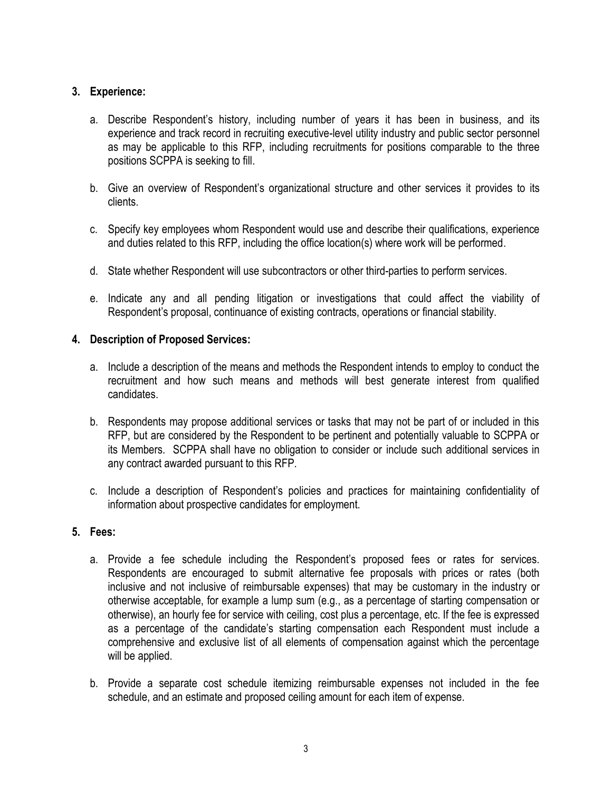## **3. Experience:**

- a. Describe Respondent's history, including number of years it has been in business, and its experience and track record in recruiting executive-level utility industry and public sector personnel as may be applicable to this RFP, including recruitments for positions comparable to the three positions SCPPA is seeking to fill.
- b. Give an overview of Respondent's organizational structure and other services it provides to its clients.
- c. Specify key employees whom Respondent would use and describe their qualifications, experience and duties related to this RFP, including the office location(s) where work will be performed.
- d. State whether Respondent will use subcontractors or other third-parties to perform services.
- e. Indicate any and all pending litigation or investigations that could affect the viability of Respondent's proposal, continuance of existing contracts, operations or financial stability.

## **4. Description of Proposed Services:**

- a. Include a description of the means and methods the Respondent intends to employ to conduct the recruitment and how such means and methods will best generate interest from qualified candidates.
- b. Respondents may propose additional services or tasks that may not be part of or included in this RFP, but are considered by the Respondent to be pertinent and potentially valuable to SCPPA or its Members. SCPPA shall have no obligation to consider or include such additional services in any contract awarded pursuant to this RFP.
- c. Include a description of Respondent's policies and practices for maintaining confidentiality of information about prospective candidates for employment.

## **5. Fees:**

- a. Provide a fee schedule including the Respondent's proposed fees or rates for services. Respondents are encouraged to submit alternative fee proposals with prices or rates (both inclusive and not inclusive of reimbursable expenses) that may be customary in the industry or otherwise acceptable, for example a lump sum (e.g., as a percentage of starting compensation or otherwise), an hourly fee for service with ceiling, cost plus a percentage, etc. If the fee is expressed as a percentage of the candidate's starting compensation each Respondent must include a comprehensive and exclusive list of all elements of compensation against which the percentage will be applied.
- b. Provide a separate cost schedule itemizing reimbursable expenses not included in the fee schedule, and an estimate and proposed ceiling amount for each item of expense.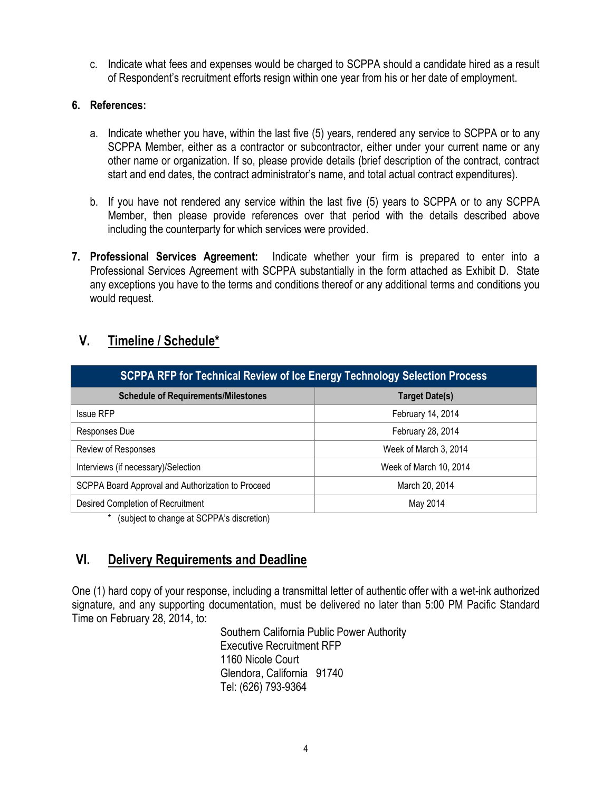c. Indicate what fees and expenses would be charged to SCPPA should a candidate hired as a result of Respondent's recruitment efforts resign within one year from his or her date of employment.

#### **6. References:**

- a. Indicate whether you have, within the last five (5) years, rendered any service to SCPPA or to any SCPPA Member, either as a contractor or subcontractor, either under your current name or any other name or organization. If so, please provide details (brief description of the contract, contract start and end dates, the contract administrator's name, and total actual contract expenditures).
- b. If you have not rendered any service within the last five (5) years to SCPPA or to any SCPPA Member, then please provide references over that period with the details described above including the counterparty for which services were provided.
- **7. Professional Services Agreement:** Indicate whether your firm is prepared to enter into a Professional Services Agreement with SCPPA substantially in the form attached as Exhibit D. State any exceptions you have to the terms and conditions thereof or any additional terms and conditions you would request.

# **V. Timeline / Schedule\***

| <b>SCPPA RFP for Technical Review of Ice Energy Technology Selection Process</b> |                        |
|----------------------------------------------------------------------------------|------------------------|
| <b>Schedule of Requirements/Milestones</b>                                       | <b>Target Date(s)</b>  |
| <b>Issue RFP</b>                                                                 | February 14, 2014      |
| Responses Due                                                                    | February 28, 2014      |
| Review of Responses                                                              | Week of March 3, 2014  |
| Interviews (if necessary)/Selection                                              | Week of March 10, 2014 |
| SCPPA Board Approval and Authorization to Proceed                                | March 20, 2014         |
| Desired Completion of Recruitment                                                | May 2014               |

\* (subject to change at SCPPA's discretion)

# **VI. Delivery Requirements and Deadline**

One (1) hard copy of your response, including a transmittal letter of authentic offer with a wet-ink authorized signature, and any supporting documentation, must be delivered no later than 5:00 PM Pacific Standard Time on February 28, 2014, to:

> Southern California Public Power Authority Executive Recruitment RFP 1160 Nicole Court Glendora, California 91740 Tel: (626) 793-9364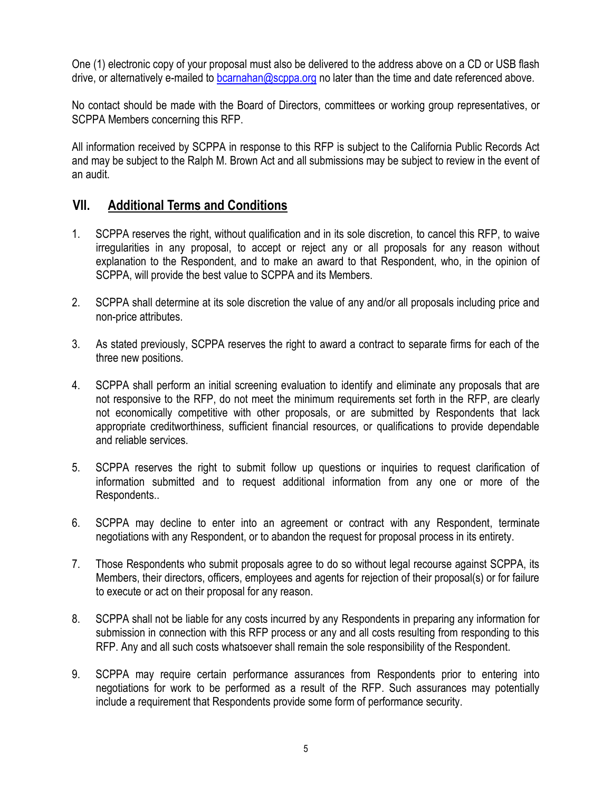One (1) electronic copy of your proposal must also be delivered to the address above on a CD or USB flash drive, or alternatively e-mailed to [bcarnahan@scppa.org](mailto:bcarnahan@scppa.org) no later than the time and date referenced above.

No contact should be made with the Board of Directors, committees or working group representatives, or SCPPA Members concerning this RFP.

All information received by SCPPA in response to this RFP is subject to the California Public Records Act and may be subject to the Ralph M. Brown Act and all submissions may be subject to review in the event of an audit.

## **VII. Additional Terms and Conditions**

- 1. SCPPA reserves the right, without qualification and in its sole discretion, to cancel this RFP, to waive irregularities in any proposal, to accept or reject any or all proposals for any reason without explanation to the Respondent, and to make an award to that Respondent, who, in the opinion of SCPPA, will provide the best value to SCPPA and its Members.
- 2. SCPPA shall determine at its sole discretion the value of any and/or all proposals including price and non-price attributes.
- 3. As stated previously, SCPPA reserves the right to award a contract to separate firms for each of the three new positions.
- 4. SCPPA shall perform an initial screening evaluation to identify and eliminate any proposals that are not responsive to the RFP, do not meet the minimum requirements set forth in the RFP, are clearly not economically competitive with other proposals, or are submitted by Respondents that lack appropriate creditworthiness, sufficient financial resources, or qualifications to provide dependable and reliable services.
- 5. SCPPA reserves the right to submit follow up questions or inquiries to request clarification of information submitted and to request additional information from any one or more of the Respondents..
- 6. SCPPA may decline to enter into an agreement or contract with any Respondent, terminate negotiations with any Respondent, or to abandon the request for proposal process in its entirety.
- 7. Those Respondents who submit proposals agree to do so without legal recourse against SCPPA, its Members, their directors, officers, employees and agents for rejection of their proposal(s) or for failure to execute or act on their proposal for any reason.
- 8. SCPPA shall not be liable for any costs incurred by any Respondents in preparing any information for submission in connection with this RFP process or any and all costs resulting from responding to this RFP. Any and all such costs whatsoever shall remain the sole responsibility of the Respondent.
- 9. SCPPA may require certain performance assurances from Respondents prior to entering into negotiations for work to be performed as a result of the RFP. Such assurances may potentially include a requirement that Respondents provide some form of performance security.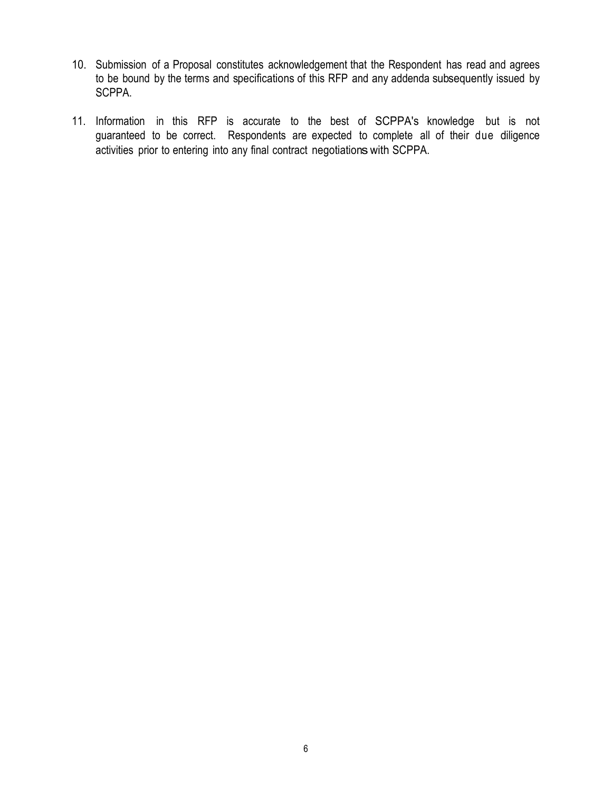- 10. Submission of a Proposal constitutes acknowledgement that the Respondent has read and agrees to be bound by the terms and specifications of this RFP and any addenda subsequently issued by SCPPA.
- 11. Information in this RFP is accurate to the best of SCPPA's knowledge but is not guaranteed to be correct. Respondents are expected to complete all of their due diligence activities prior to entering into any final contract negotiationswith SCPPA.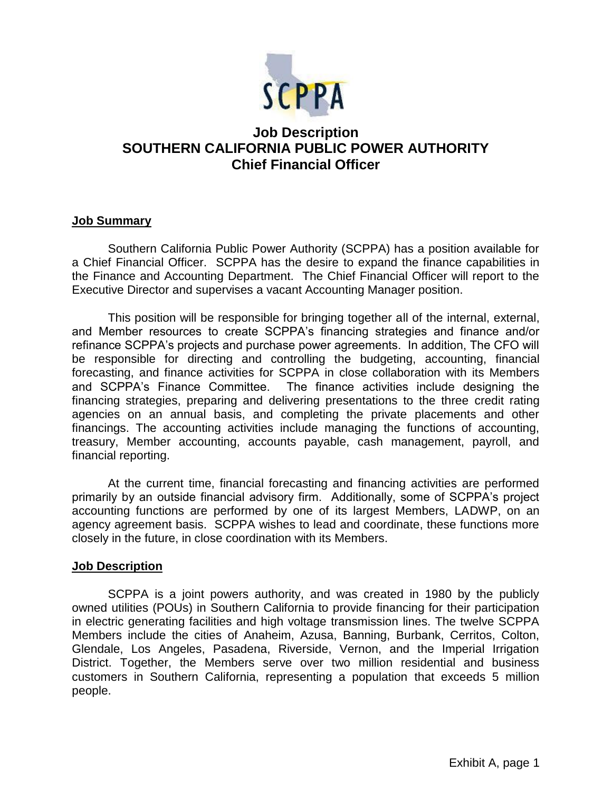

# **Job Description SOUTHERN CALIFORNIA PUBLIC POWER AUTHORITY Chief Financial Officer**

#### **Job Summary**

Southern California Public Power Authority (SCPPA) has a position available for a Chief Financial Officer. SCPPA has the desire to expand the finance capabilities in the Finance and Accounting Department. The Chief Financial Officer will report to the Executive Director and supervises a vacant Accounting Manager position.

This position will be responsible for bringing together all of the internal, external, and Member resources to create SCPPA's financing strategies and finance and/or refinance SCPPA's projects and purchase power agreements. In addition, The CFO will be responsible for directing and controlling the budgeting, accounting, financial forecasting, and finance activities for SCPPA in close collaboration with its Members and SCPPA's Finance Committee. The finance activities include designing the financing strategies, preparing and delivering presentations to the three credit rating agencies on an annual basis, and completing the private placements and other financings. The accounting activities include managing the functions of accounting, treasury, Member accounting, accounts payable, cash management, payroll, and financial reporting.

At the current time, financial forecasting and financing activities are performed primarily by an outside financial advisory firm. Additionally, some of SCPPA's project accounting functions are performed by one of its largest Members, LADWP, on an agency agreement basis. SCPPA wishes to lead and coordinate, these functions more closely in the future, in close coordination with its Members.

#### **Job Description**

SCPPA is a joint powers authority, and was created in 1980 by the publicly owned utilities (POUs) in Southern California to provide financing for their participation in electric generating facilities and high voltage transmission lines. The twelve SCPPA Members include the cities of Anaheim, Azusa, Banning, Burbank, Cerritos, Colton, Glendale, Los Angeles, Pasadena, Riverside, Vernon, and the Imperial Irrigation District. Together, the Members serve over two million residential and business customers in Southern California, representing a population that exceeds 5 million people.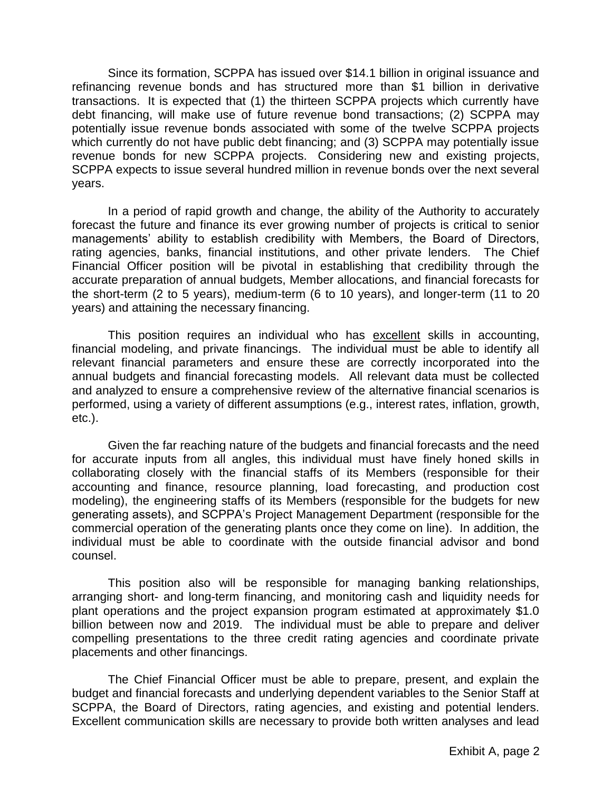Since its formation, SCPPA has issued over \$14.1 billion in original issuance and refinancing revenue bonds and has structured more than \$1 billion in derivative transactions. It is expected that (1) the thirteen SCPPA projects which currently have debt financing, will make use of future revenue bond transactions; (2) SCPPA may potentially issue revenue bonds associated with some of the twelve SCPPA projects which currently do not have public debt financing; and (3) SCPPA may potentially issue revenue bonds for new SCPPA projects. Considering new and existing projects, SCPPA expects to issue several hundred million in revenue bonds over the next several years.

In a period of rapid growth and change, the ability of the Authority to accurately forecast the future and finance its ever growing number of projects is critical to senior managements' ability to establish credibility with Members, the Board of Directors, rating agencies, banks, financial institutions, and other private lenders. The Chief Financial Officer position will be pivotal in establishing that credibility through the accurate preparation of annual budgets, Member allocations, and financial forecasts for the short-term (2 to 5 years), medium-term (6 to 10 years), and longer-term (11 to 20 years) and attaining the necessary financing.

This position requires an individual who has excellent skills in accounting, financial modeling, and private financings. The individual must be able to identify all relevant financial parameters and ensure these are correctly incorporated into the annual budgets and financial forecasting models. All relevant data must be collected and analyzed to ensure a comprehensive review of the alternative financial scenarios is performed, using a variety of different assumptions (e.g., interest rates, inflation, growth, etc.).

Given the far reaching nature of the budgets and financial forecasts and the need for accurate inputs from all angles, this individual must have finely honed skills in collaborating closely with the financial staffs of its Members (responsible for their accounting and finance, resource planning, load forecasting, and production cost modeling), the engineering staffs of its Members (responsible for the budgets for new generating assets), and SCPPA's Project Management Department (responsible for the commercial operation of the generating plants once they come on line). In addition, the individual must be able to coordinate with the outside financial advisor and bond counsel.

This position also will be responsible for managing banking relationships, arranging short- and long-term financing, and monitoring cash and liquidity needs for plant operations and the project expansion program estimated at approximately \$1.0 billion between now and 2019. The individual must be able to prepare and deliver compelling presentations to the three credit rating agencies and coordinate private placements and other financings.

The Chief Financial Officer must be able to prepare, present, and explain the budget and financial forecasts and underlying dependent variables to the Senior Staff at SCPPA, the Board of Directors, rating agencies, and existing and potential lenders. Excellent communication skills are necessary to provide both written analyses and lead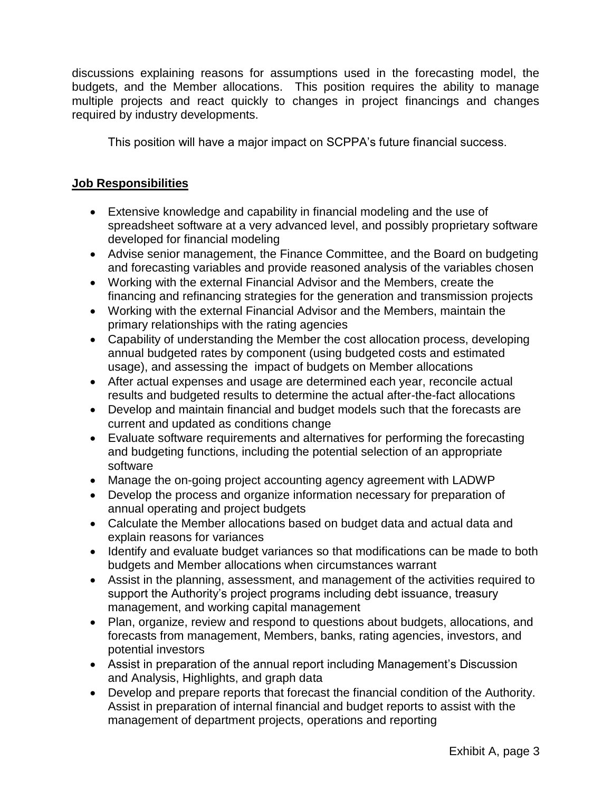discussions explaining reasons for assumptions used in the forecasting model, the budgets, and the Member allocations. This position requires the ability to manage multiple projects and react quickly to changes in project financings and changes required by industry developments.

This position will have a major impact on SCPPA's future financial success.

## **Job Responsibilities**

- Extensive knowledge and capability in financial modeling and the use of spreadsheet software at a very advanced level, and possibly proprietary software developed for financial modeling
- Advise senior management, the Finance Committee, and the Board on budgeting and forecasting variables and provide reasoned analysis of the variables chosen
- Working with the external Financial Advisor and the Members, create the financing and refinancing strategies for the generation and transmission projects
- Working with the external Financial Advisor and the Members, maintain the primary relationships with the rating agencies
- Capability of understanding the Member the cost allocation process, developing annual budgeted rates by component (using budgeted costs and estimated usage), and assessing the impact of budgets on Member allocations
- After actual expenses and usage are determined each year, reconcile actual results and budgeted results to determine the actual after-the-fact allocations
- Develop and maintain financial and budget models such that the forecasts are current and updated as conditions change
- Evaluate software requirements and alternatives for performing the forecasting and budgeting functions, including the potential selection of an appropriate software
- Manage the on-going project accounting agency agreement with LADWP
- Develop the process and organize information necessary for preparation of annual operating and project budgets
- Calculate the Member allocations based on budget data and actual data and explain reasons for variances
- Identify and evaluate budget variances so that modifications can be made to both budgets and Member allocations when circumstances warrant
- Assist in the planning, assessment, and management of the activities required to support the Authority's project programs including debt issuance, treasury management, and working capital management
- Plan, organize, review and respond to questions about budgets, allocations, and forecasts from management, Members, banks, rating agencies, investors, and potential investors
- Assist in preparation of the annual report including Management's Discussion and Analysis, Highlights, and graph data
- Develop and prepare reports that forecast the financial condition of the Authority. Assist in preparation of internal financial and budget reports to assist with the management of department projects, operations and reporting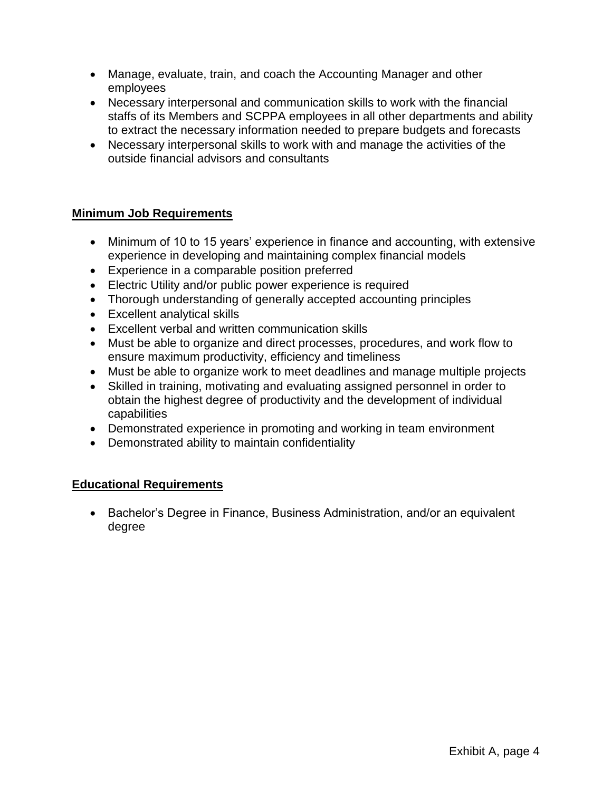- Manage, evaluate, train, and coach the Accounting Manager and other employees
- Necessary interpersonal and communication skills to work with the financial staffs of its Members and SCPPA employees in all other departments and ability to extract the necessary information needed to prepare budgets and forecasts
- Necessary interpersonal skills to work with and manage the activities of the outside financial advisors and consultants

## **Minimum Job Requirements**

- Minimum of 10 to 15 years' experience in finance and accounting, with extensive experience in developing and maintaining complex financial models
- Experience in a comparable position preferred
- Electric Utility and/or public power experience is required
- Thorough understanding of generally accepted accounting principles
- Excellent analytical skills
- Excellent verbal and written communication skills
- Must be able to organize and direct processes, procedures, and work flow to ensure maximum productivity, efficiency and timeliness
- Must be able to organize work to meet deadlines and manage multiple projects
- Skilled in training, motivating and evaluating assigned personnel in order to obtain the highest degree of productivity and the development of individual capabilities
- Demonstrated experience in promoting and working in team environment
- Demonstrated ability to maintain confidentiality

## **Educational Requirements**

• Bachelor's Degree in Finance, Business Administration, and/or an equivalent degree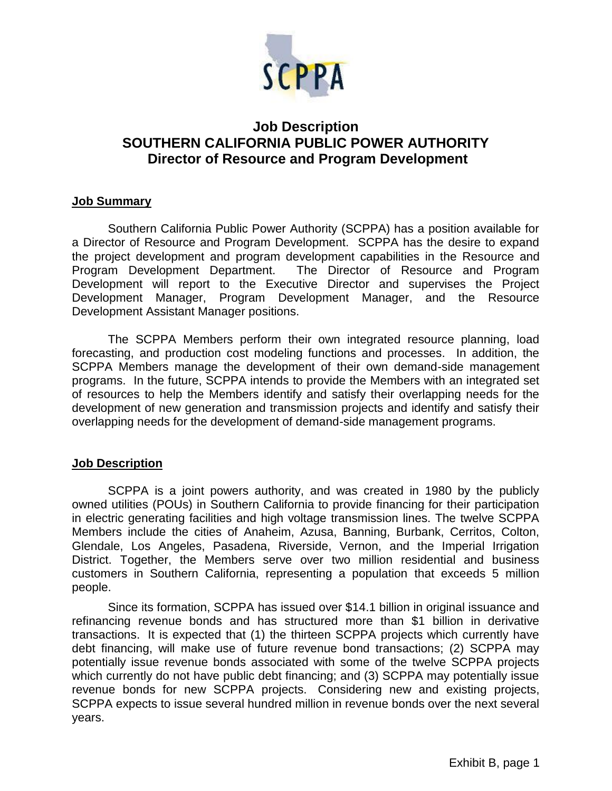

# **Job Description SOUTHERN CALIFORNIA PUBLIC POWER AUTHORITY Director of Resource and Program Development**

#### **Job Summary**

Southern California Public Power Authority (SCPPA) has a position available for a Director of Resource and Program Development. SCPPA has the desire to expand the project development and program development capabilities in the Resource and Program Development Department. The Director of Resource and Program Development will report to the Executive Director and supervises the Project Development Manager, Program Development Manager, and the Resource Development Assistant Manager positions.

The SCPPA Members perform their own integrated resource planning, load forecasting, and production cost modeling functions and processes. In addition, the SCPPA Members manage the development of their own demand-side management programs. In the future, SCPPA intends to provide the Members with an integrated set of resources to help the Members identify and satisfy their overlapping needs for the development of new generation and transmission projects and identify and satisfy their overlapping needs for the development of demand-side management programs.

#### **Job Description**

SCPPA is a joint powers authority, and was created in 1980 by the publicly owned utilities (POUs) in Southern California to provide financing for their participation in electric generating facilities and high voltage transmission lines. The twelve SCPPA Members include the cities of Anaheim, Azusa, Banning, Burbank, Cerritos, Colton, Glendale, Los Angeles, Pasadena, Riverside, Vernon, and the Imperial Irrigation District. Together, the Members serve over two million residential and business customers in Southern California, representing a population that exceeds 5 million people.

Since its formation, SCPPA has issued over \$14.1 billion in original issuance and refinancing revenue bonds and has structured more than \$1 billion in derivative transactions. It is expected that (1) the thirteen SCPPA projects which currently have debt financing, will make use of future revenue bond transactions; (2) SCPPA may potentially issue revenue bonds associated with some of the twelve SCPPA projects which currently do not have public debt financing; and (3) SCPPA may potentially issue revenue bonds for new SCPPA projects. Considering new and existing projects, SCPPA expects to issue several hundred million in revenue bonds over the next several years.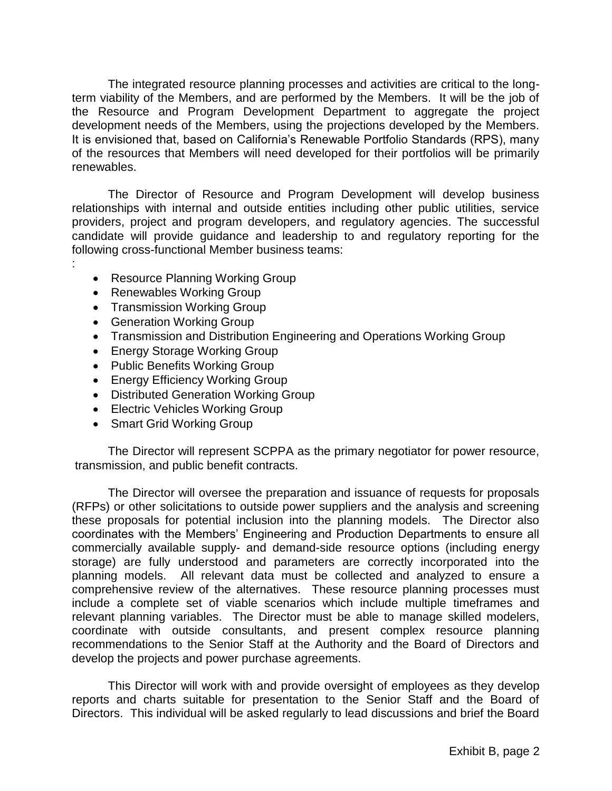The integrated resource planning processes and activities are critical to the longterm viability of the Members, and are performed by the Members. It will be the job of the Resource and Program Development Department to aggregate the project development needs of the Members, using the projections developed by the Members. It is envisioned that, based on California's Renewable Portfolio Standards (RPS), many of the resources that Members will need developed for their portfolios will be primarily renewables.

The Director of Resource and Program Development will develop business relationships with internal and outside entities including other public utilities, service providers, project and program developers, and regulatory agencies. The successful candidate will provide guidance and leadership to and regulatory reporting for the following cross-functional Member business teams:

- Resource Planning Working Group
- Renewables Working Group

:

- Transmission Working Group
- Generation Working Group
- Transmission and Distribution Engineering and Operations Working Group
- Energy Storage Working Group
- Public Benefits Working Group
- Energy Efficiency Working Group
- Distributed Generation Working Group
- Electric Vehicles Working Group
- Smart Grid Working Group

The Director will represent SCPPA as the primary negotiator for power resource, transmission, and public benefit contracts.

The Director will oversee the preparation and issuance of requests for proposals (RFPs) or other solicitations to outside power suppliers and the analysis and screening these proposals for potential inclusion into the planning models. The Director also coordinates with the Members' Engineering and Production Departments to ensure all commercially available supply- and demand-side resource options (including energy storage) are fully understood and parameters are correctly incorporated into the planning models. All relevant data must be collected and analyzed to ensure a comprehensive review of the alternatives. These resource planning processes must include a complete set of viable scenarios which include multiple timeframes and relevant planning variables. The Director must be able to manage skilled modelers, coordinate with outside consultants, and present complex resource planning recommendations to the Senior Staff at the Authority and the Board of Directors and develop the projects and power purchase agreements.

This Director will work with and provide oversight of employees as they develop reports and charts suitable for presentation to the Senior Staff and the Board of Directors. This individual will be asked regularly to lead discussions and brief the Board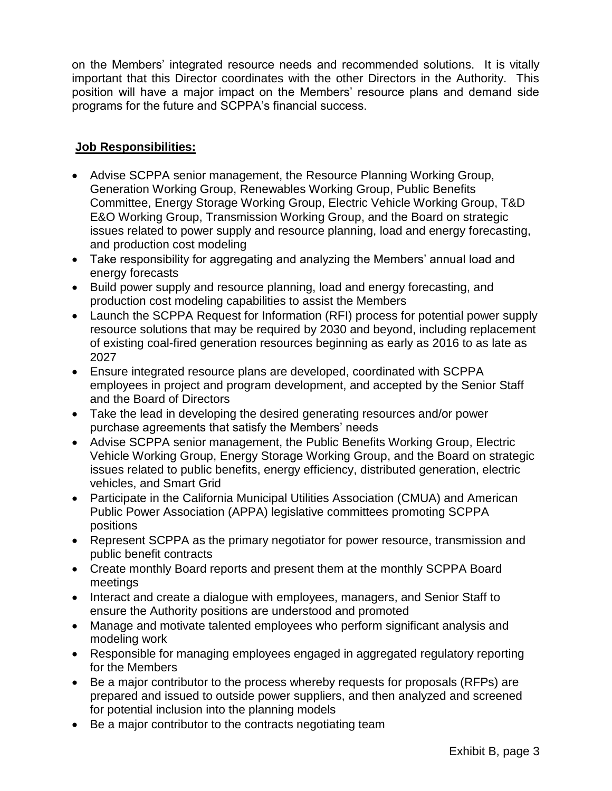on the Members' integrated resource needs and recommended solutions. It is vitally important that this Director coordinates with the other Directors in the Authority. This position will have a major impact on the Members' resource plans and demand side programs for the future and SCPPA's financial success.

## **Job Responsibilities:**

- Advise SCPPA senior management, the Resource Planning Working Group, Generation Working Group, Renewables Working Group, Public Benefits Committee, Energy Storage Working Group, Electric Vehicle Working Group, T&D E&O Working Group, Transmission Working Group, and the Board on strategic issues related to power supply and resource planning, load and energy forecasting, and production cost modeling
- Take responsibility for aggregating and analyzing the Members' annual load and energy forecasts
- Build power supply and resource planning, load and energy forecasting, and production cost modeling capabilities to assist the Members
- Launch the SCPPA Request for Information (RFI) process for potential power supply resource solutions that may be required by 2030 and beyond, including replacement of existing coal-fired generation resources beginning as early as 2016 to as late as 2027
- Ensure integrated resource plans are developed, coordinated with SCPPA employees in project and program development, and accepted by the Senior Staff and the Board of Directors
- Take the lead in developing the desired generating resources and/or power purchase agreements that satisfy the Members' needs
- Advise SCPPA senior management, the Public Benefits Working Group, Electric Vehicle Working Group, Energy Storage Working Group, and the Board on strategic issues related to public benefits, energy efficiency, distributed generation, electric vehicles, and Smart Grid
- Participate in the California Municipal Utilities Association (CMUA) and American Public Power Association (APPA) legislative committees promoting SCPPA positions
- Represent SCPPA as the primary negotiator for power resource, transmission and public benefit contracts
- Create monthly Board reports and present them at the monthly SCPPA Board meetings
- Interact and create a dialogue with employees, managers, and Senior Staff to ensure the Authority positions are understood and promoted
- Manage and motivate talented employees who perform significant analysis and modeling work
- Responsible for managing employees engaged in aggregated regulatory reporting for the Members
- Be a major contributor to the process whereby requests for proposals (RFPs) are prepared and issued to outside power suppliers, and then analyzed and screened for potential inclusion into the planning models
- Be a major contributor to the contracts negotiating team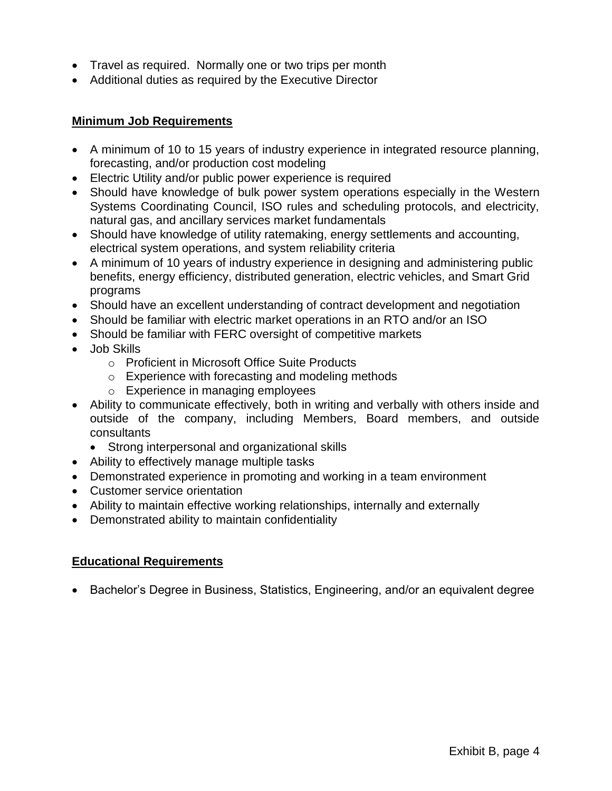- Travel as required. Normally one or two trips per month
- Additional duties as required by the Executive Director

## **Minimum Job Requirements**

- A minimum of 10 to 15 years of industry experience in integrated resource planning, forecasting, and/or production cost modeling
- Electric Utility and/or public power experience is required
- Should have knowledge of bulk power system operations especially in the Western Systems Coordinating Council, ISO rules and scheduling protocols, and electricity, natural gas, and ancillary services market fundamentals
- Should have knowledge of utility ratemaking, energy settlements and accounting, electrical system operations, and system reliability criteria
- A minimum of 10 years of industry experience in designing and administering public benefits, energy efficiency, distributed generation, electric vehicles, and Smart Grid programs
- Should have an excellent understanding of contract development and negotiation
- Should be familiar with electric market operations in an RTO and/or an ISO
- Should be familiar with FERC oversight of competitive markets
- Job Skills
	- o Proficient in Microsoft Office Suite Products
	- o Experience with forecasting and modeling methods
	- o Experience in managing employees
- Ability to communicate effectively, both in writing and verbally with others inside and outside of the company, including Members, Board members, and outside consultants
	- Strong interpersonal and organizational skills
- Ability to effectively manage multiple tasks
- Demonstrated experience in promoting and working in a team environment
- Customer service orientation
- Ability to maintain effective working relationships, internally and externally
- Demonstrated ability to maintain confidentiality

## **Educational Requirements**

• Bachelor's Degree in Business, Statistics, Engineering, and/or an equivalent degree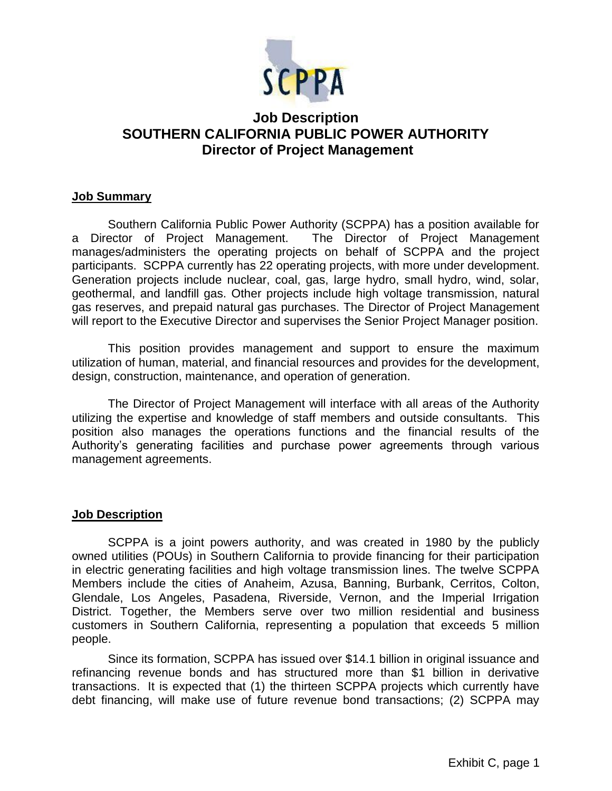

# **Job Description SOUTHERN CALIFORNIA PUBLIC POWER AUTHORITY Director of Project Management**

#### **Job Summary**

Southern California Public Power Authority (SCPPA) has a position available for a Director of Project Management. The Director of Project Management manages/administers the operating projects on behalf of SCPPA and the project participants. SCPPA currently has 22 operating projects, with more under development. Generation projects include nuclear, coal, gas, large hydro, small hydro, wind, solar, geothermal, and landfill gas. Other projects include high voltage transmission, natural gas reserves, and prepaid natural gas purchases. The Director of Project Management will report to the Executive Director and supervises the Senior Project Manager position.

This position provides management and support to ensure the maximum utilization of human, material, and financial resources and provides for the development, design, construction, maintenance, and operation of generation.

The Director of Project Management will interface with all areas of the Authority utilizing the expertise and knowledge of staff members and outside consultants. This position also manages the operations functions and the financial results of the Authority's generating facilities and purchase power agreements through various management agreements.

#### **Job Description**

SCPPA is a joint powers authority, and was created in 1980 by the publicly owned utilities (POUs) in Southern California to provide financing for their participation in electric generating facilities and high voltage transmission lines. The twelve SCPPA Members include the cities of Anaheim, Azusa, Banning, Burbank, Cerritos, Colton, Glendale, Los Angeles, Pasadena, Riverside, Vernon, and the Imperial Irrigation District. Together, the Members serve over two million residential and business customers in Southern California, representing a population that exceeds 5 million people.

Since its formation, SCPPA has issued over \$14.1 billion in original issuance and refinancing revenue bonds and has structured more than \$1 billion in derivative transactions. It is expected that (1) the thirteen SCPPA projects which currently have debt financing, will make use of future revenue bond transactions; (2) SCPPA may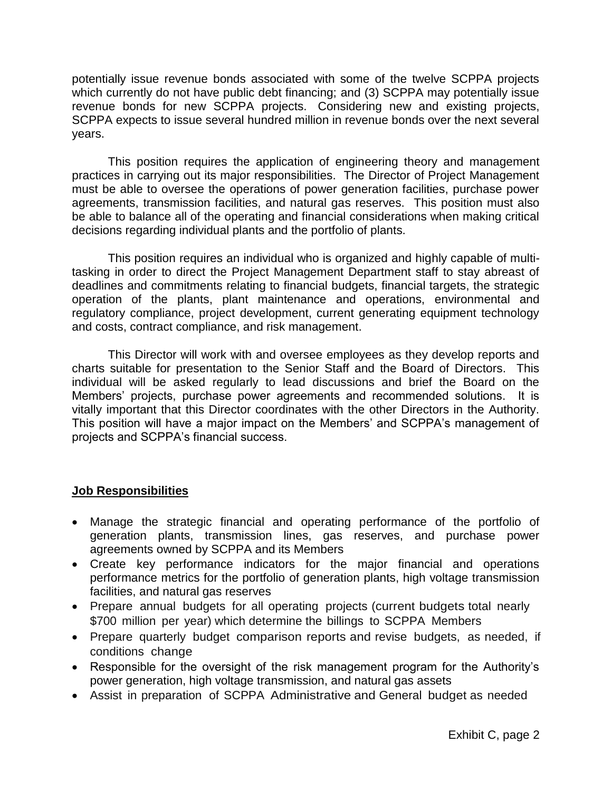potentially issue revenue bonds associated with some of the twelve SCPPA projects which currently do not have public debt financing; and (3) SCPPA may potentially issue revenue bonds for new SCPPA projects. Considering new and existing projects, SCPPA expects to issue several hundred million in revenue bonds over the next several years.

This position requires the application of engineering theory and management practices in carrying out its major responsibilities. The Director of Project Management must be able to oversee the operations of power generation facilities, purchase power agreements, transmission facilities, and natural gas reserves. This position must also be able to balance all of the operating and financial considerations when making critical decisions regarding individual plants and the portfolio of plants.

This position requires an individual who is organized and highly capable of multitasking in order to direct the Project Management Department staff to stay abreast of deadlines and commitments relating to financial budgets, financial targets, the strategic operation of the plants, plant maintenance and operations, environmental and regulatory compliance, project development, current generating equipment technology and costs, contract compliance, and risk management.

This Director will work with and oversee employees as they develop reports and charts suitable for presentation to the Senior Staff and the Board of Directors. This individual will be asked regularly to lead discussions and brief the Board on the Members' projects, purchase power agreements and recommended solutions. It is vitally important that this Director coordinates with the other Directors in the Authority. This position will have a major impact on the Members' and SCPPA's management of projects and SCPPA's financial success.

## **Job Responsibilities**

- Manage the strategic financial and operating performance of the portfolio of generation plants, transmission lines, gas reserves, and purchase power agreements owned by SCPPA and its Members
- Create key performance indicators for the major financial and operations performance metrics for the portfolio of generation plants, high voltage transmission facilities, and natural gas reserves
- Prepare annual budgets for all operating projects (current budgets total nearly \$700 million per year) which determine the billings to SCPPA Members
- Prepare quarterly budget comparison reports and revise budgets, as needed, if conditions change
- Responsible for the oversight of the risk management program for the Authority's power generation, high voltage transmission, and natural gas assets
- Assist in preparation of SCPPA Administrative and General budget as needed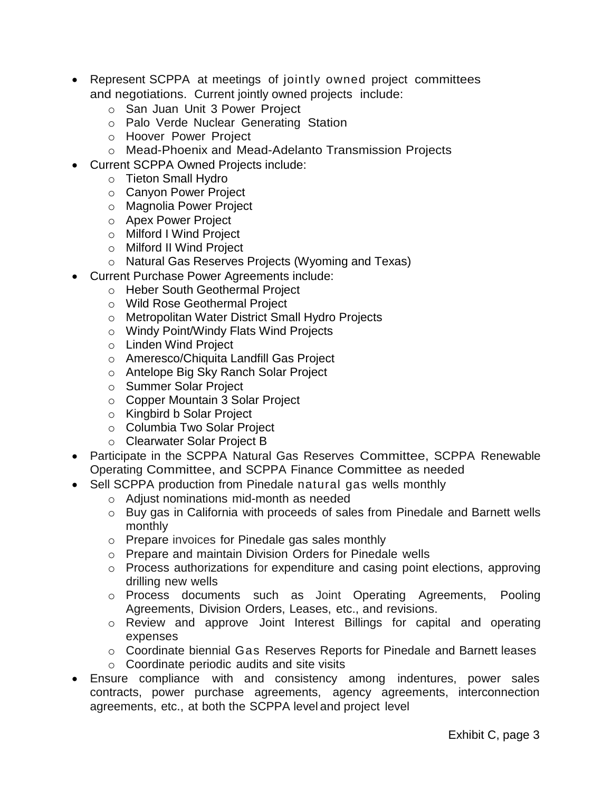- Represent SCPPA at meetings of jointly owned project committees and negotiations. Current jointly owned projects include:
	- o San Juan Unit 3 Power Project
	- o Palo Verde Nuclear Generating Station
	- o Hoover Power Project
	- o Mead-Phoenix and Mead-Adelanto Transmission Projects
- Current SCPPA Owned Projects include:
	- o Tieton Small Hydro
	- o Canyon Power Project
	- o Magnolia Power Project
	- o Apex Power Project
	- o Milford I Wind Project
	- o Milford II Wind Project
	- o Natural Gas Reserves Projects (Wyoming and Texas)
- Current Purchase Power Agreements include:
	- o Heber South Geothermal Project
	- o Wild Rose Geothermal Project
	- o Metropolitan Water District Small Hydro Projects
	- o Windy Point/Windy Flats Wind Projects
	- o Linden Wind Project
	- o Ameresco/Chiquita Landfill Gas Project
	- o Antelope Big Sky Ranch Solar Project
	- o Summer Solar Project
	- o Copper Mountain 3 Solar Project
	- o Kingbird b Solar Project
	- o Columbia Two Solar Project
	- o Clearwater Solar Project B
- Participate in the SCPPA Natural Gas Reserves Committee, SCPPA Renewable Operating Committee, and SCPPA Finance Committee as needed
- Sell SCPPA production from Pinedale natural gas wells monthly
	- o Adjust nominations mid-month as needed
	- o Buy gas in California with proceeds of sales from Pinedale and Barnett wells monthly
	- o Prepare invoices for Pinedale gas sales monthly
	- o Prepare and maintain Division Orders for Pinedale wells
	- o Process authorizations for expenditure and casing point elections, approving drilling new wells
	- o Process documents such as Joint Operating Agreements, Pooling Agreements, Division Orders, Leases, etc., and revisions.
	- o Review and approve Joint Interest Billings for capital and operating expenses
	- o Coordinate biennial Gas Reserves Reports for Pinedale and Barnett leases
	- o Coordinate periodic audits and site visits
- Ensure compliance with and consistency among indentures, power sales contracts, power purchase agreements, agency agreements, interconnection agreements, etc., at both the SCPPA level and project level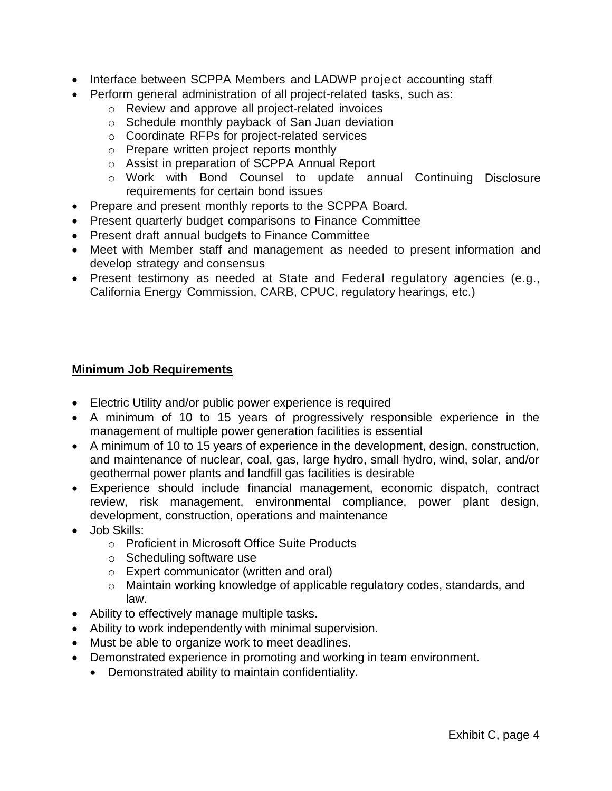- Interface between SCPPA Members and LADWP project accounting staff
- Perform general administration of all project-related tasks, such as:
	- o Review and approve all project-related invoices
	- o Schedule monthly payback of San Juan deviation
	- o Coordinate RFPs for project-related services
	- o Prepare written project reports monthly
	- o Assist in preparation of SCPPA Annual Report
	- o Work with Bond Counsel to update annual Continuing Disclosure requirements for certain bond issues
- Prepare and present monthly reports to the SCPPA Board.
- Present quarterly budget comparisons to Finance Committee
- Present draft annual budgets to Finance Committee
- Meet with Member staff and management as needed to present information and develop strategy and consensus
- Present testimony as needed at State and Federal regulatory agencies (e.g., California Energy Commission, CARB, CPUC, regulatory hearings, etc.)

## **Minimum Job Requirements**

- Electric Utility and/or public power experience is required
- A minimum of 10 to 15 years of progressively responsible experience in the management of multiple power generation facilities is essential
- A minimum of 10 to 15 years of experience in the development, design, construction, and maintenance of nuclear, coal, gas, large hydro, small hydro, wind, solar, and/or geothermal power plants and landfill gas facilities is desirable
- Experience should include financial management, economic dispatch, contract review, risk management, environmental compliance, power plant design, development, construction, operations and maintenance
- Job Skills:
	- o Proficient in Microsoft Office Suite Products
	- o Scheduling software use
	- o Expert communicator (written and oral)
	- o Maintain working knowledge of applicable regulatory codes, standards, and law.
- Ability to effectively manage multiple tasks.
- Ability to work independently with minimal supervision.
- Must be able to organize work to meet deadlines.
- Demonstrated experience in promoting and working in team environment.
	- Demonstrated ability to maintain confidentiality.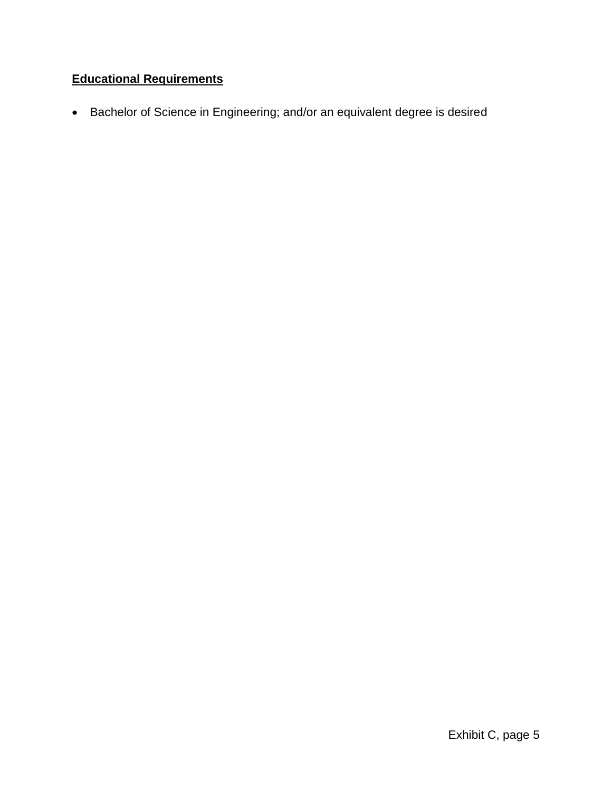# **Educational Requirements**

Bachelor of Science in Engineering; and/or an equivalent degree is desired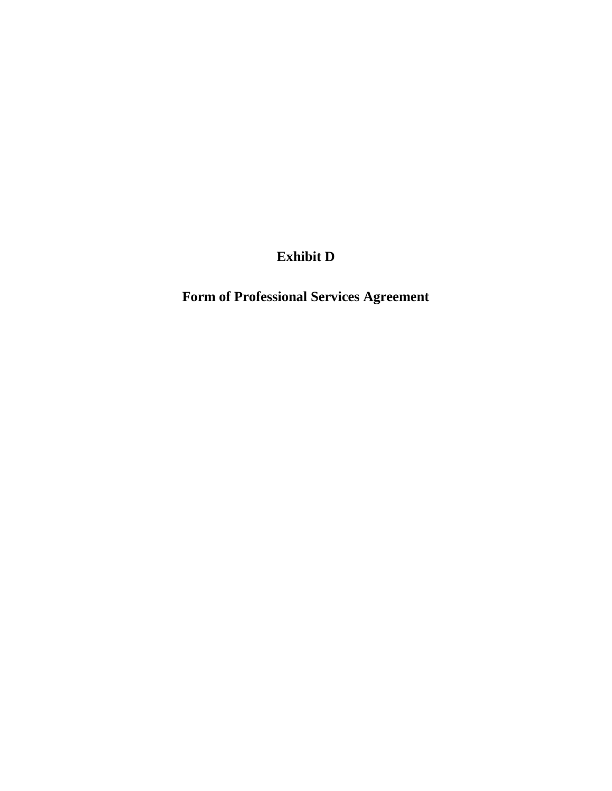**Exhibit D**

**Form of Professional Services Agreement**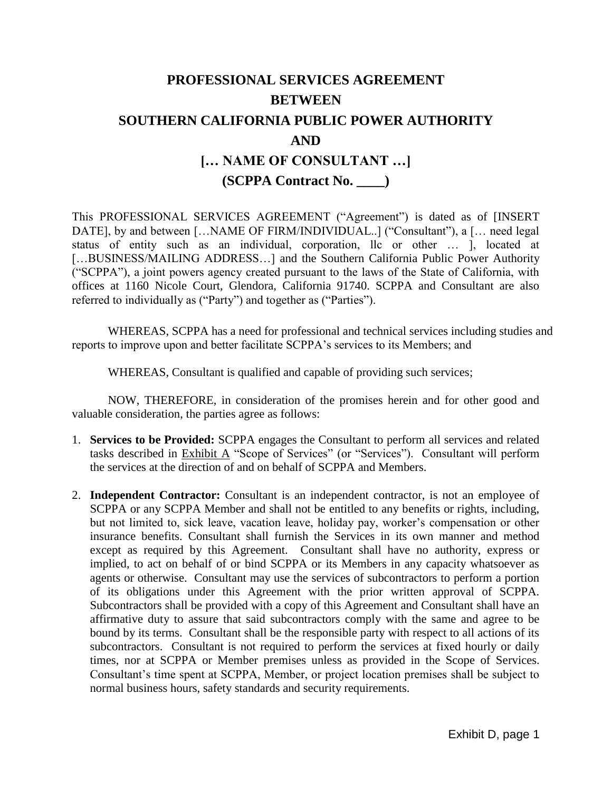# **PROFESSIONAL SERVICES AGREEMENT BETWEEN SOUTHERN CALIFORNIA PUBLIC POWER AUTHORITY AND [… NAME OF CONSULTANT …] (SCPPA Contract No. \_\_\_\_)**

This PROFESSIONAL SERVICES AGREEMENT ("Agreement") is dated as of [INSERT DATE], by and between [...NAME OF FIRM/INDIVIDUAL..] ("Consultant"), a [... need legal status of entity such as an individual, corporation, llc or other … ], located at [...BUSINESS/MAILING ADDRESS...] and the Southern California Public Power Authority ("SCPPA"), a joint powers agency created pursuant to the laws of the State of California, with offices at 1160 Nicole Court, Glendora, California 91740. SCPPA and Consultant are also referred to individually as ("Party") and together as ("Parties").

WHEREAS, SCPPA has a need for professional and technical services including studies and reports to improve upon and better facilitate SCPPA's services to its Members; and

WHEREAS, Consultant is qualified and capable of providing such services;

NOW, THEREFORE, in consideration of the promises herein and for other good and valuable consideration, the parties agree as follows:

- 1. **Services to be Provided:** SCPPA engages the Consultant to perform all services and related tasks described in Exhibit A "Scope of Services" (or "Services"). Consultant will perform the services at the direction of and on behalf of SCPPA and Members.
- 2. **Independent Contractor:** Consultant is an independent contractor, is not an employee of SCPPA or any SCPPA Member and shall not be entitled to any benefits or rights, including, but not limited to, sick leave, vacation leave, holiday pay, worker's compensation or other insurance benefits. Consultant shall furnish the Services in its own manner and method except as required by this Agreement. Consultant shall have no authority, express or implied, to act on behalf of or bind SCPPA or its Members in any capacity whatsoever as agents or otherwise. Consultant may use the services of subcontractors to perform a portion of its obligations under this Agreement with the prior written approval of SCPPA. Subcontractors shall be provided with a copy of this Agreement and Consultant shall have an affirmative duty to assure that said subcontractors comply with the same and agree to be bound by its terms. Consultant shall be the responsible party with respect to all actions of its subcontractors. Consultant is not required to perform the services at fixed hourly or daily times, nor at SCPPA or Member premises unless as provided in the Scope of Services. Consultant's time spent at SCPPA, Member, or project location premises shall be subject to normal business hours, safety standards and security requirements.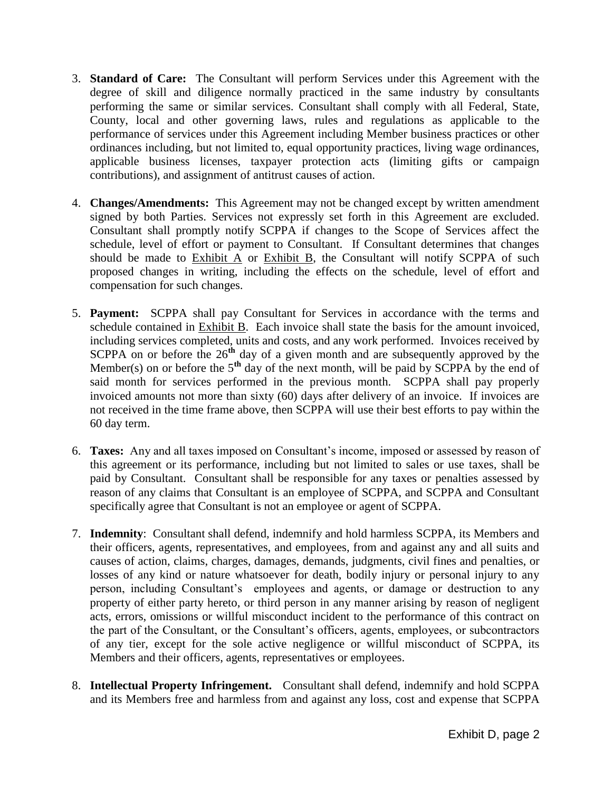- 3. **Standard of Care:** The Consultant will perform Services under this Agreement with the degree of skill and diligence normally practiced in the same industry by consultants performing the same or similar services. Consultant shall comply with all Federal, State, County, local and other governing laws, rules and regulations as applicable to the performance of services under this Agreement including Member business practices or other ordinances including, but not limited to, equal opportunity practices, living wage ordinances, applicable business licenses, taxpayer protection acts (limiting gifts or campaign contributions), and assignment of antitrust causes of action.
- 4. **Changes/Amendments:** This Agreement may not be changed except by written amendment signed by both Parties. Services not expressly set forth in this Agreement are excluded. Consultant shall promptly notify SCPPA if changes to the Scope of Services affect the schedule, level of effort or payment to Consultant. If Consultant determines that changes should be made to Exhibit A or Exhibit B, the Consultant will notify SCPPA of such proposed changes in writing, including the effects on the schedule, level of effort and compensation for such changes.
- 5. **Payment:** SCPPA shall pay Consultant for Services in accordance with the terms and schedule contained in Exhibit B. Each invoice shall state the basis for the amount invoiced, including services completed, units and costs, and any work performed. Invoices received by SCPPA on or before the 26<sup>th</sup> day of a given month and are subsequently approved by the Member(s) on or before the 5<sup>th</sup> day of the next month, will be paid by SCPPA by the end of said month for services performed in the previous month. SCPPA shall pay properly invoiced amounts not more than sixty (60) days after delivery of an invoice. If invoices are not received in the time frame above, then SCPPA will use their best efforts to pay within the 60 day term.
- 6. **Taxes:** Any and all taxes imposed on Consultant's income, imposed or assessed by reason of this agreement or its performance, including but not limited to sales or use taxes, shall be paid by Consultant. Consultant shall be responsible for any taxes or penalties assessed by reason of any claims that Consultant is an employee of SCPPA, and SCPPA and Consultant specifically agree that Consultant is not an employee or agent of SCPPA.
- 7. **Indemnity**: Consultant shall defend, indemnify and hold harmless SCPPA, its Members and their officers, agents, representatives, and employees, from and against any and all suits and causes of action, claims, charges, damages, demands, judgments, civil fines and penalties, or losses of any kind or nature whatsoever for death, bodily injury or personal injury to any person, including Consultant's employees and agents, or damage or destruction to any property of either party hereto, or third person in any manner arising by reason of negligent acts, errors, omissions or willful misconduct incident to the performance of this contract on the part of the Consultant, or the Consultant's officers, agents, employees, or subcontractors of any tier, except for the sole active negligence or willful misconduct of SCPPA, its Members and their officers, agents, representatives or employees.
- 8. **Intellectual Property Infringement.** Consultant shall defend, indemnify and hold SCPPA and its Members free and harmless from and against any loss, cost and expense that SCPPA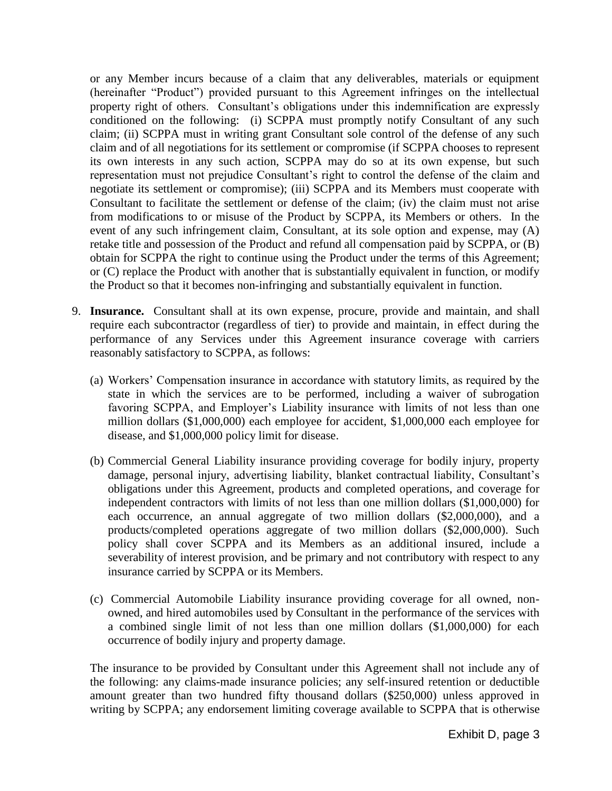or any Member incurs because of a claim that any deliverables, materials or equipment (hereinafter "Product") provided pursuant to this Agreement infringes on the intellectual property right of others. Consultant's obligations under this indemnification are expressly conditioned on the following: (i) SCPPA must promptly notify Consultant of any such claim; (ii) SCPPA must in writing grant Consultant sole control of the defense of any such claim and of all negotiations for its settlement or compromise (if SCPPA chooses to represent its own interests in any such action, SCPPA may do so at its own expense, but such representation must not prejudice Consultant's right to control the defense of the claim and negotiate its settlement or compromise); (iii) SCPPA and its Members must cooperate with Consultant to facilitate the settlement or defense of the claim; (iv) the claim must not arise from modifications to or misuse of the Product by SCPPA, its Members or others. In the event of any such infringement claim, Consultant, at its sole option and expense, may (A) retake title and possession of the Product and refund all compensation paid by SCPPA, or (B) obtain for SCPPA the right to continue using the Product under the terms of this Agreement; or (C) replace the Product with another that is substantially equivalent in function, or modify the Product so that it becomes non-infringing and substantially equivalent in function.

- 9. **Insurance.** Consultant shall at its own expense, procure, provide and maintain, and shall require each subcontractor (regardless of tier) to provide and maintain, in effect during the performance of any Services under this Agreement insurance coverage with carriers reasonably satisfactory to SCPPA, as follows:
	- (a) Workers' Compensation insurance in accordance with statutory limits, as required by the state in which the services are to be performed, including a waiver of subrogation favoring SCPPA, and Employer's Liability insurance with limits of not less than one million dollars (\$1,000,000) each employee for accident, \$1,000,000 each employee for disease, and \$1,000,000 policy limit for disease.
	- (b) Commercial General Liability insurance providing coverage for bodily injury, property damage, personal injury, advertising liability, blanket contractual liability, Consultant's obligations under this Agreement, products and completed operations, and coverage for independent contractors with limits of not less than one million dollars (\$1,000,000) for each occurrence, an annual aggregate of two million dollars (\$2,000,000), and a products/completed operations aggregate of two million dollars (\$2,000,000). Such policy shall cover SCPPA and its Members as an additional insured, include a severability of interest provision, and be primary and not contributory with respect to any insurance carried by SCPPA or its Members.
	- (c) Commercial Automobile Liability insurance providing coverage for all owned, nonowned, and hired automobiles used by Consultant in the performance of the services with a combined single limit of not less than one million dollars (\$1,000,000) for each occurrence of bodily injury and property damage.

The insurance to be provided by Consultant under this Agreement shall not include any of the following: any claims-made insurance policies; any self-insured retention or deductible amount greater than two hundred fifty thousand dollars (\$250,000) unless approved in writing by SCPPA; any endorsement limiting coverage available to SCPPA that is otherwise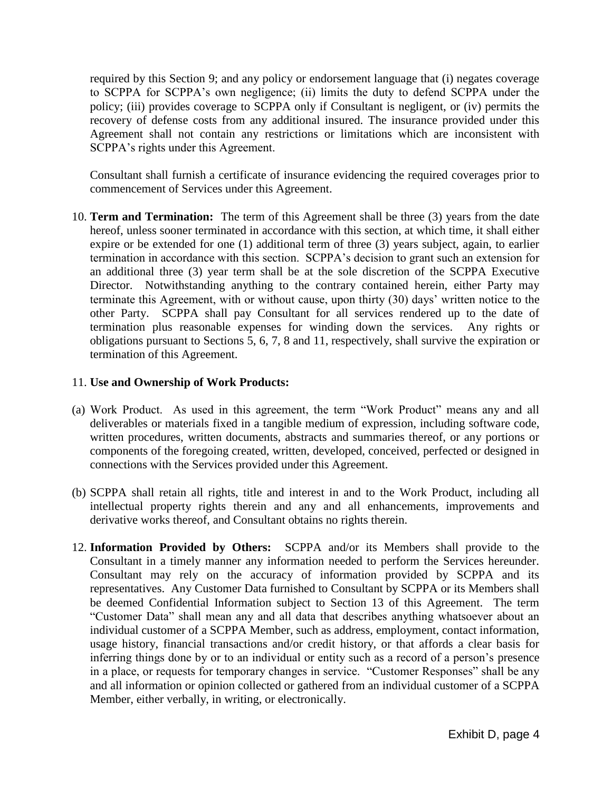required by this Section 9; and any policy or endorsement language that (i) negates coverage to SCPPA for SCPPA's own negligence; (ii) limits the duty to defend SCPPA under the policy; (iii) provides coverage to SCPPA only if Consultant is negligent, or (iv) permits the recovery of defense costs from any additional insured. The insurance provided under this Agreement shall not contain any restrictions or limitations which are inconsistent with SCPPA's rights under this Agreement.

Consultant shall furnish a certificate of insurance evidencing the required coverages prior to commencement of Services under this Agreement.

10. **Term and Termination:** The term of this Agreement shall be three (3) years from the date hereof, unless sooner terminated in accordance with this section, at which time, it shall either expire or be extended for one (1) additional term of three (3) years subject, again, to earlier termination in accordance with this section. SCPPA's decision to grant such an extension for an additional three (3) year term shall be at the sole discretion of the SCPPA Executive Director. Notwithstanding anything to the contrary contained herein, either Party may terminate this Agreement, with or without cause, upon thirty (30) days' written notice to the other Party. SCPPA shall pay Consultant for all services rendered up to the date of termination plus reasonable expenses for winding down the services. Any rights or obligations pursuant to Sections 5, 6, 7, 8 and 11, respectively, shall survive the expiration or termination of this Agreement.

## 11. **Use and Ownership of Work Products:**

- (a) Work Product. As used in this agreement, the term "Work Product" means any and all deliverables or materials fixed in a tangible medium of expression, including software code, written procedures, written documents, abstracts and summaries thereof, or any portions or components of the foregoing created, written, developed, conceived, perfected or designed in connections with the Services provided under this Agreement.
- (b) SCPPA shall retain all rights, title and interest in and to the Work Product, including all intellectual property rights therein and any and all enhancements, improvements and derivative works thereof, and Consultant obtains no rights therein.
- 12. **Information Provided by Others:** SCPPA and/or its Members shall provide to the Consultant in a timely manner any information needed to perform the Services hereunder. Consultant may rely on the accuracy of information provided by SCPPA and its representatives. Any Customer Data furnished to Consultant by SCPPA or its Members shall be deemed Confidential Information subject to Section 13 of this Agreement. The term "Customer Data" shall mean any and all data that describes anything whatsoever about an individual customer of a SCPPA Member, such as address, employment, contact information, usage history, financial transactions and/or credit history, or that affords a clear basis for inferring things done by or to an individual or entity such as a record of a person's presence in a place, or requests for temporary changes in service. "Customer Responses" shall be any and all information or opinion collected or gathered from an individual customer of a SCPPA Member, either verbally, in writing, or electronically.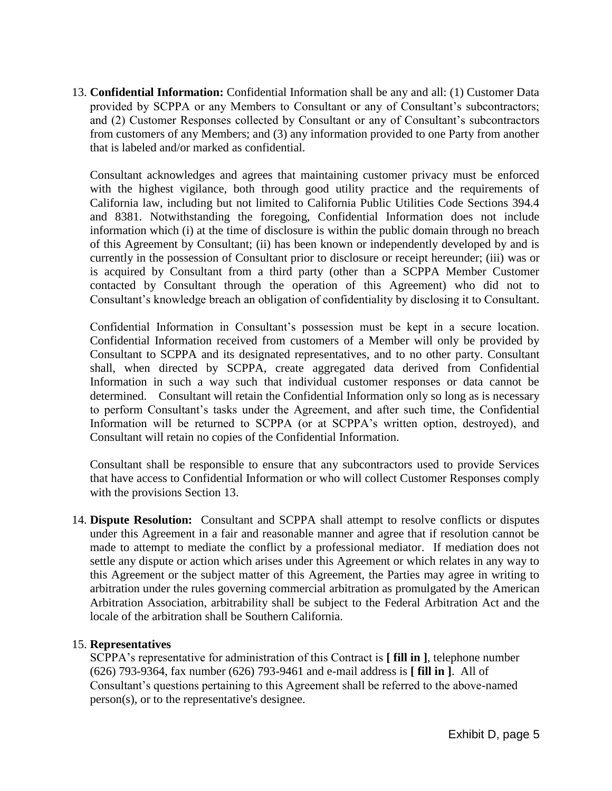13. **Confidential Information:** Confidential Information shall be any and all: (1) Customer Data provided by SCPPA or any Members to Consultant or any of Consultant's subcontractors; and (2) Customer Responses collected by Consultant or any of Consultant's subcontractors from customers of any Members; and (3) any information provided to one Party from another that is labeled and/or marked as confidential.

Consultant acknowledges and agrees that maintaining customer privacy must be enforced with the highest vigilance, both through good utility practice and the requirements of California law, including but not limited to California Public Utilities Code Sections 394.4 and 8381. Notwithstanding the foregoing, Confidential Information does not include information which (i) at the time of disclosure is within the public domain through no breach of this Agreement by Consultant; (ii) has been known or independently developed by and is currently in the possession of Consultant prior to disclosure or receipt hereunder; (iii) was or is acquired by Consultant from a third party (other than a SCPPA Member Customer contacted by Consultant through the operation of this Agreement) who did not to Consultant's knowledge breach an obligation of confidentiality by disclosing it to Consultant.

Confidential Information in Consultant's possession must be kept in a secure location. Confidential Information received from customers of a Member will only be provided by Consultant to SCPPA and its designated representatives, and to no other party. Consultant shall, when directed by SCPPA, create aggregated data derived from Confidential Information in such a way such that individual customer responses or data cannot be determined. Consultant will retain the Confidential Information only so long as is necessary to perform Consultant's tasks under the Agreement, and after such time, the Confidential Information will be returned to SCPPA (or at SCPPA's written option, destroyed), and Consultant will retain no copies of the Confidential Information.

Consultant shall be responsible to ensure that any subcontractors used to provide Services that have access to Confidential Information or who will collect Customer Responses comply with the provisions Section 13.

14. **Dispute Resolution:** Consultant and SCPPA shall attempt to resolve conflicts or disputes under this Agreement in a fair and reasonable manner and agree that if resolution cannot be made to attempt to mediate the conflict by a professional mediator. If mediation does not settle any dispute or action which arises under this Agreement or which relates in any way to this Agreement or the subject matter of this Agreement, the Parties may agree in writing to arbitration under the rules governing commercial arbitration as promulgated by the American Arbitration Association, arbitrability shall be subject to the Federal Arbitration Act and the locale of the arbitration shall be Southern California.

## 15. **Representatives**

SCPPA's representative for administration of this Contract is **[ fill in ]**, telephone number (626) 793-9364, fax number (626) 793-9461 and e-mail address is **[ fill in ]**. All of Consultant's questions pertaining to this Agreement shall be referred to the above-named person(s), or to the representative's designee.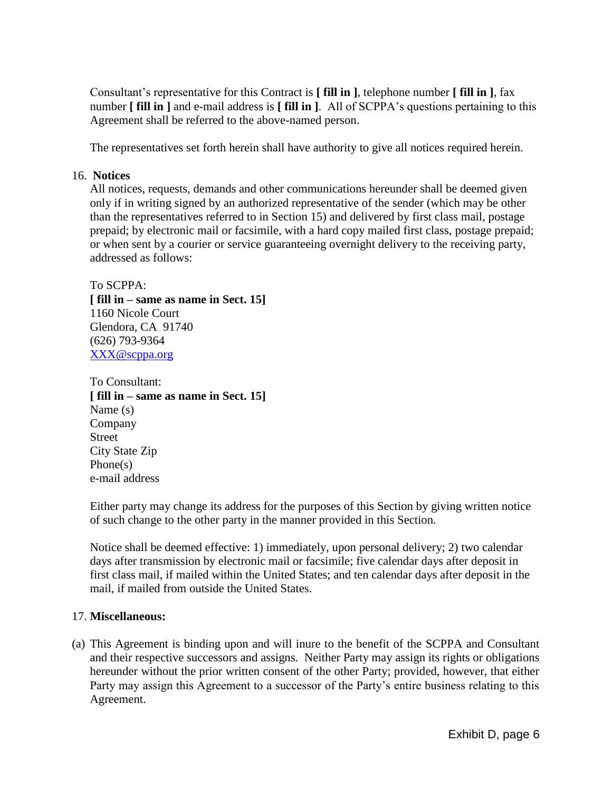Consultant's representative for this Contract is **[ fill in ]**, telephone number **[ fill in ]**, fax number **[ fill in ]** and e-mail address is **[ fill in ]**. All of SCPPA's questions pertaining to this Agreement shall be referred to the above-named person.

The representatives set forth herein shall have authority to give all notices required herein.

#### 16. **Notices**

All notices, requests, demands and other communications hereunder shall be deemed given only if in writing signed by an authorized representative of the sender (which may be other than the representatives referred to in Section 15) and delivered by first class mail, postage prepaid; by electronic mail or facsimile, with a hard copy mailed first class, postage prepaid; or when sent by a courier or service guaranteeing overnight delivery to the receiving party, addressed as follows:

To SCPPA: **[ fill in – same as name in Sect. 15]** 1160 Nicole Court Glendora, CA 91740 (626) 793-9364 [XXX@scppa.org](mailto:XXX@scppa.org)

To Consultant: **[ fill in – same as name in Sect. 15]** Name (s) Company Street City State Zip Phone(s) e-mail address

Either party may change its address for the purposes of this Section by giving written notice of such change to the other party in the manner provided in this Section.

Notice shall be deemed effective: 1) immediately, upon personal delivery; 2) two calendar days after transmission by electronic mail or facsimile; five calendar days after deposit in first class mail, if mailed within the United States; and ten calendar days after deposit in the mail, if mailed from outside the United States.

#### 17. **Miscellaneous:**

(a) This Agreement is binding upon and will inure to the benefit of the SCPPA and Consultant and their respective successors and assigns. Neither Party may assign its rights or obligations hereunder without the prior written consent of the other Party; provided, however, that either Party may assign this Agreement to a successor of the Party's entire business relating to this Agreement.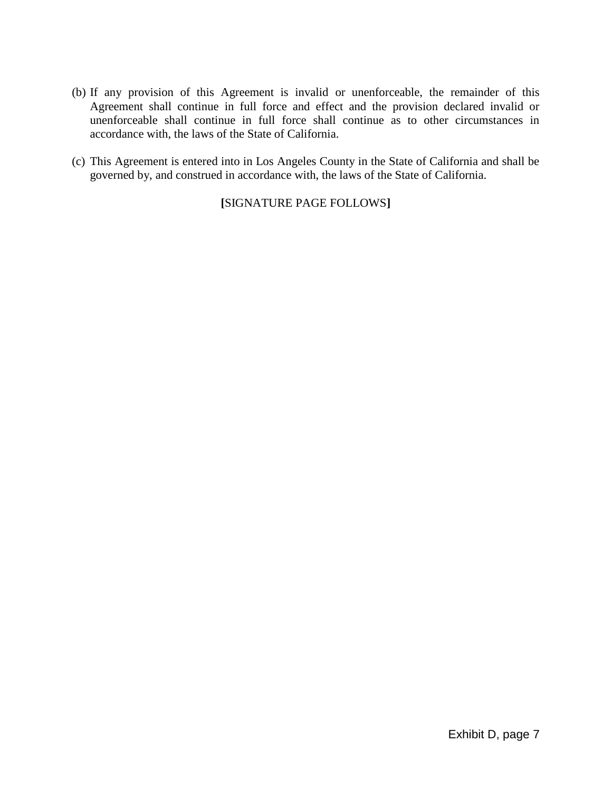- (b) If any provision of this Agreement is invalid or unenforceable, the remainder of this Agreement shall continue in full force and effect and the provision declared invalid or unenforceable shall continue in full force shall continue as to other circumstances in accordance with, the laws of the State of California.
- (c) This Agreement is entered into in Los Angeles County in the State of California and shall be governed by, and construed in accordance with, the laws of the State of California.

**[**SIGNATURE PAGE FOLLOWS**]**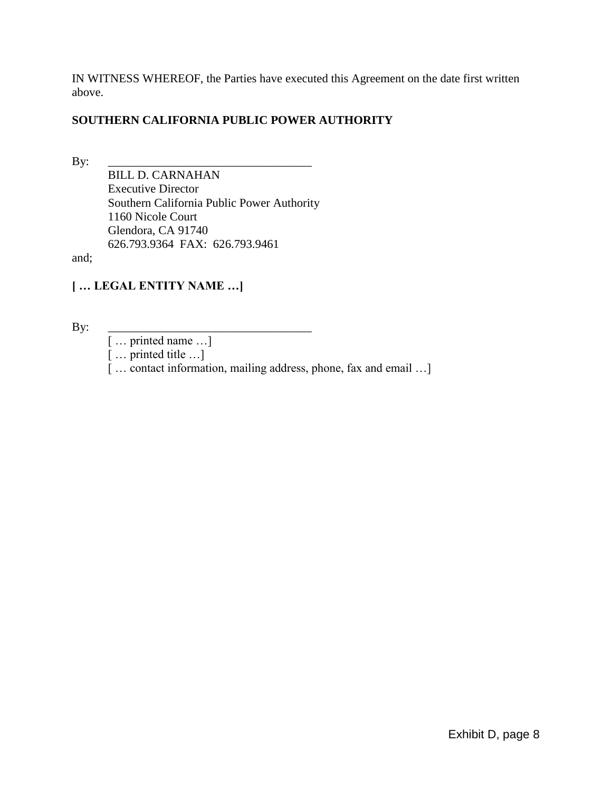IN WITNESS WHEREOF, the Parties have executed this Agreement on the date first written above.

## **SOUTHERN CALIFORNIA PUBLIC POWER AUTHORITY**

By: \_\_\_\_\_\_\_\_\_\_\_\_\_\_\_\_\_\_\_\_\_\_\_\_\_\_\_\_\_\_\_\_\_\_

BILL D. CARNAHAN Executive Director Southern California Public Power Authority 1160 Nicole Court Glendora, CA 91740 626.793.9364 FAX: 626.793.9461

and;

## **[ … LEGAL ENTITY NAME …]**

By: \_\_\_\_\_\_\_\_\_\_\_\_\_\_\_\_\_\_\_\_\_\_\_\_\_\_\_\_\_\_\_\_\_\_

[ ... printed name ...]

[ … printed title …]

[... contact information, mailing address, phone, fax and email ...]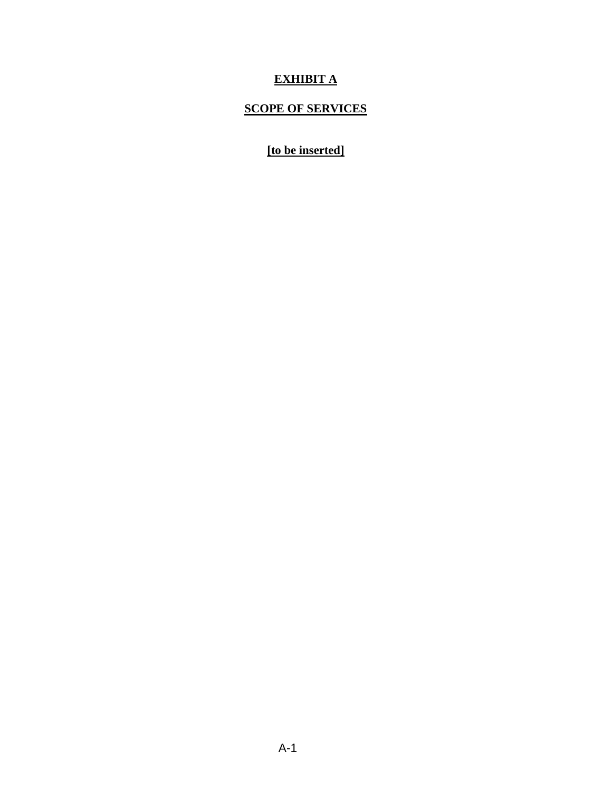## **EXHIBIT A**

## **SCOPE OF SERVICES**

## **[to be inserted]**